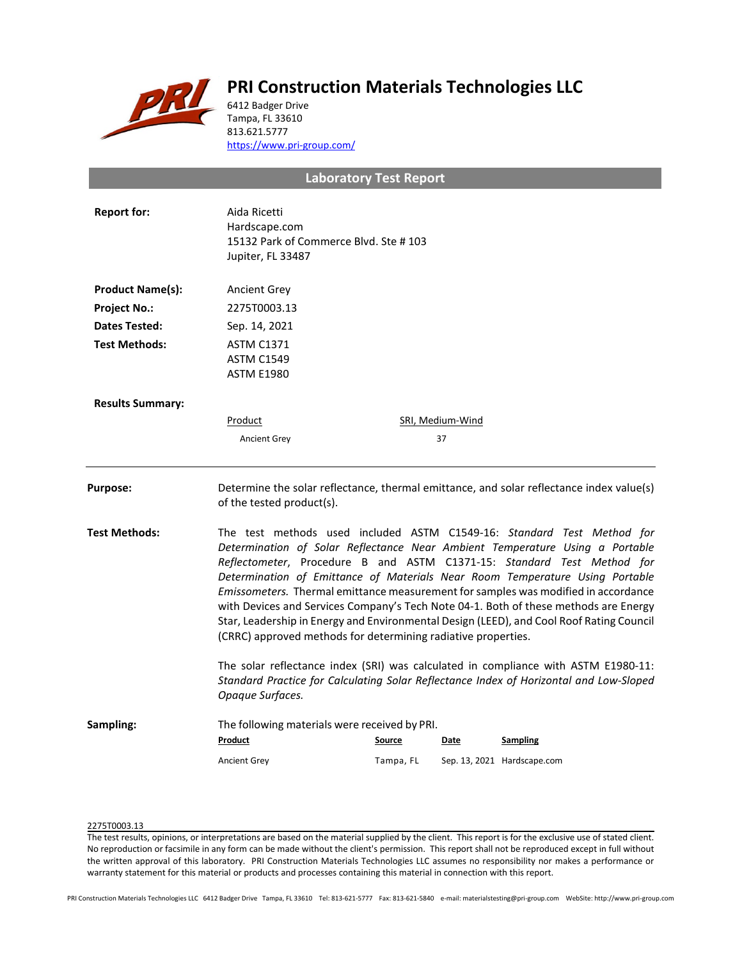

# **PRI Construction Materials Technologies LLC**

6412 Badger Drive Tampa, FL 33610 813.621.5777 <https://www.pri-group.com/>

# **Laboratory Test Report**

| <b>Report for:</b>      | Aida Ricetti<br>Hardscape.com<br>15132 Park of Commerce Blvd. Ste #103<br>Jupiter, FL 33487                                                                                                                                                                                                                                                                                                                                                                                                                                                                                                                                                                 |                            |                  |                                                                                          |
|-------------------------|-------------------------------------------------------------------------------------------------------------------------------------------------------------------------------------------------------------------------------------------------------------------------------------------------------------------------------------------------------------------------------------------------------------------------------------------------------------------------------------------------------------------------------------------------------------------------------------------------------------------------------------------------------------|----------------------------|------------------|------------------------------------------------------------------------------------------|
| <b>Product Name(s):</b> | <b>Ancient Grey</b>                                                                                                                                                                                                                                                                                                                                                                                                                                                                                                                                                                                                                                         |                            |                  |                                                                                          |
| <b>Project No.:</b>     | 2275T0003.13                                                                                                                                                                                                                                                                                                                                                                                                                                                                                                                                                                                                                                                |                            |                  |                                                                                          |
| <b>Dates Tested:</b>    | Sep. 14, 2021                                                                                                                                                                                                                                                                                                                                                                                                                                                                                                                                                                                                                                               |                            |                  |                                                                                          |
| <b>Test Methods:</b>    | <b>ASTM C1371</b><br><b>ASTM C1549</b><br><b>ASTM E1980</b>                                                                                                                                                                                                                                                                                                                                                                                                                                                                                                                                                                                                 |                            |                  |                                                                                          |
| <b>Results Summary:</b> |                                                                                                                                                                                                                                                                                                                                                                                                                                                                                                                                                                                                                                                             |                            |                  |                                                                                          |
|                         | Product                                                                                                                                                                                                                                                                                                                                                                                                                                                                                                                                                                                                                                                     |                            | SRI, Medium-Wind |                                                                                          |
|                         | <b>Ancient Grey</b>                                                                                                                                                                                                                                                                                                                                                                                                                                                                                                                                                                                                                                         |                            | 37               |                                                                                          |
| <b>Purpose:</b>         | of the tested product(s).                                                                                                                                                                                                                                                                                                                                                                                                                                                                                                                                                                                                                                   |                            |                  | Determine the solar reflectance, thermal emittance, and solar reflectance index value(s) |
| Test Methods:           | The test methods used included ASTM C1549-16: Standard Test Method for<br>Determination of Solar Reflectance Near Ambient Temperature Using a Portable<br>Reflectometer, Procedure B and ASTM C1371-15: Standard Test Method for<br>Determination of Emittance of Materials Near Room Temperature Using Portable<br>Emissometers. Thermal emittance measurement for samples was modified in accordance<br>with Devices and Services Company's Tech Note 04-1. Both of these methods are Energy<br>Star, Leadership in Energy and Environmental Design (LEED), and Cool Roof Rating Council<br>(CRRC) approved methods for determining radiative properties. |                            |                  |                                                                                          |
|                         | The solar reflectance index (SRI) was calculated in compliance with ASTM E1980-11:<br>Standard Practice for Calculating Solar Reflectance Index of Horizontal and Low-Sloped<br>Opaque Surfaces.                                                                                                                                                                                                                                                                                                                                                                                                                                                            |                            |                  |                                                                                          |
| Sampling:               | The following materials were received by PRI.<br>Product<br><b>Ancient Grey</b>                                                                                                                                                                                                                                                                                                                                                                                                                                                                                                                                                                             | <b>Source</b><br>Tampa, FL | Date             | <b>Sampling</b><br>Sep. 13, 2021 Hardscape.com                                           |
|                         |                                                                                                                                                                                                                                                                                                                                                                                                                                                                                                                                                                                                                                                             |                            |                  |                                                                                          |

## 2275T0003.13

The test results, opinions, or interpretations are based on the material supplied by the client. This report is for the exclusive use of stated client. No reproduction or facsimile in any form can be made without the client's permission. This report shall not be reproduced except in full without the written approval of this laboratory. PRI Construction Materials Technologies LLC assumes no responsibility nor makes a performance or warranty statement for this material or products and processes containing this material in connection with this report.

PRI Construction Materials Technologies LLC 6412 Badger Drive Tampa, FL 33610 Tel: 813-621-5777 Fax: 813-621-5840 e-mail: materialstesting@pri-group.com WebSite: http://www.pri-group.com